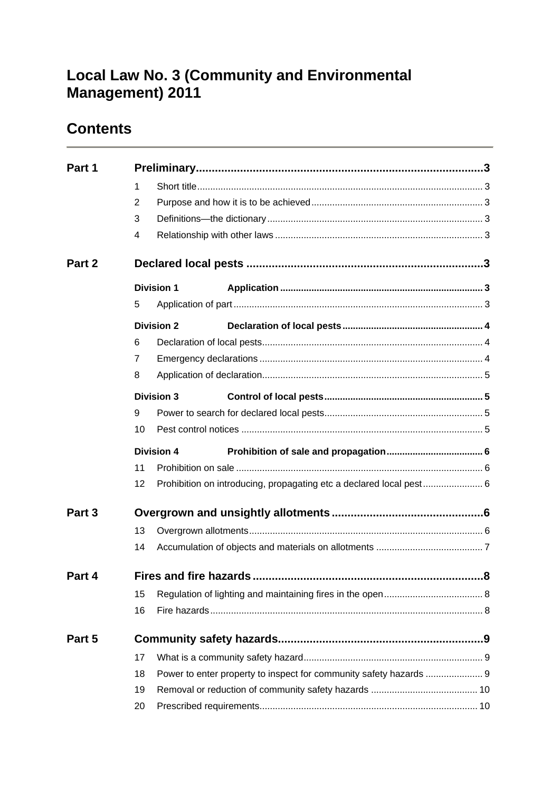# **Local Law No. 3 (Community and Environmental Management) 2011**

# **Contents**

<span id="page-0-0"></span>

| Part 1 |    |                   |                                                                     |  |  |
|--------|----|-------------------|---------------------------------------------------------------------|--|--|
|        |    | 1                 |                                                                     |  |  |
|        | 2  |                   |                                                                     |  |  |
|        | 3  |                   |                                                                     |  |  |
|        | 4  |                   |                                                                     |  |  |
| Part 2 |    |                   |                                                                     |  |  |
|        |    | <b>Division 1</b> |                                                                     |  |  |
|        | 5  |                   |                                                                     |  |  |
|        |    | <b>Division 2</b> |                                                                     |  |  |
|        | 6  |                   |                                                                     |  |  |
|        | 7  |                   |                                                                     |  |  |
|        | 8  |                   |                                                                     |  |  |
|        |    | <b>Division 3</b> |                                                                     |  |  |
|        | 9  |                   |                                                                     |  |  |
|        | 10 |                   |                                                                     |  |  |
|        |    | <b>Division 4</b> |                                                                     |  |  |
|        | 11 |                   |                                                                     |  |  |
|        | 12 |                   | Prohibition on introducing, propagating etc a declared local pest 6 |  |  |
| Part 3 |    |                   |                                                                     |  |  |
|        | 13 |                   |                                                                     |  |  |
|        | 14 |                   |                                                                     |  |  |
| Part 4 |    |                   |                                                                     |  |  |
|        | 15 |                   |                                                                     |  |  |
|        | 16 |                   |                                                                     |  |  |
| Part 5 |    |                   |                                                                     |  |  |
|        | 17 |                   |                                                                     |  |  |
|        | 18 |                   | Power to enter property to inspect for community safety hazards  9  |  |  |
|        | 19 |                   |                                                                     |  |  |
|        | 20 |                   |                                                                     |  |  |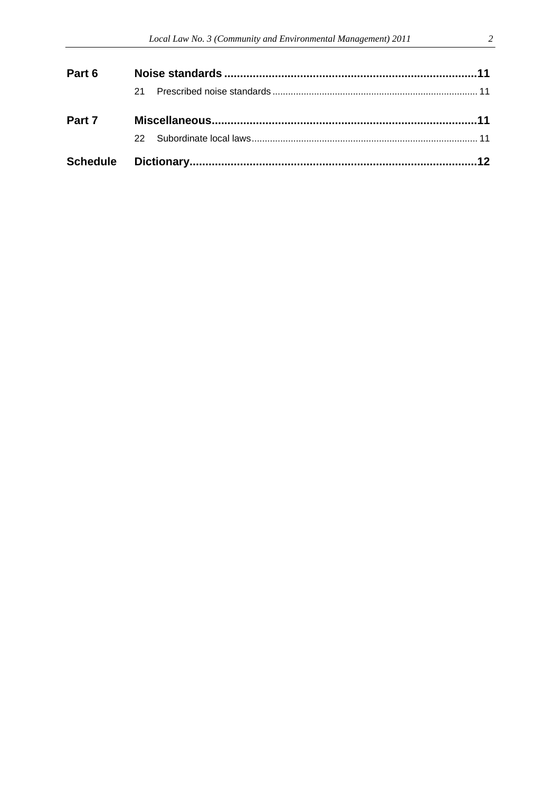| Part 6 |     |  |  |
|--------|-----|--|--|
|        | 21. |  |  |
| Part 7 |     |  |  |
|        |     |  |  |
|        |     |  |  |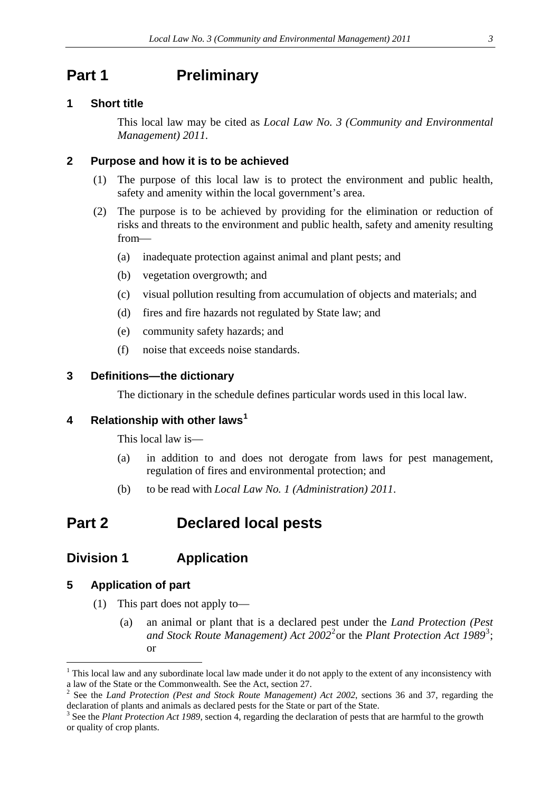## <span id="page-2-0"></span>**Part 1** Preliminary

### <span id="page-2-1"></span>**1 Short title**

This local law may be cited as *Local Law No. 3 (Community and Environmental Management) 2011.*

### <span id="page-2-2"></span>**2 Purpose and how it is to be achieved**

- (1) The purpose of this local law is to protect the environment and public health, safety and amenity within the local government's area.
- (2) The purpose is to be achieved by providing for the elimination or reduction of risks and threats to the environment and public health, safety and amenity resulting from
	- (a) inadequate protection against animal and plant pests; and
	- (b) vegetation overgrowth; and
	- (c) visual pollution resulting from accumulation of objects and materials; and
	- (d) fires and fire hazards not regulated by State law; and
	- (e) community safety hazards; and
	- (f) noise that exceeds noise standards.

### <span id="page-2-3"></span>**3 Definitions—the dictionary**

The dictionary in the schedule defines particular words used in this local law.

### <span id="page-2-4"></span>**4 Relationship with other laws[1](#page-0-0)**

This local law is—

- (a) in addition to and does not derogate from laws for pest management, regulation of fires and environmental protection; and
- (b) to be read with *Local Law No. 1 (Administration) 2011*.

## <span id="page-2-5"></span>**Part 2 Declared local pests**

### <span id="page-2-6"></span>**Division 1 Application**

### <span id="page-2-7"></span>**5 Application of part**

- (1) This part does not apply to—
	- (a) an animal or plant that is a declared pest under the *Land Protection (Pest*  and Stock Route Management) Act [2](#page-2-8)002<sup>2</sup> or the Plant Protection Act 1989<sup>[3](#page-2-9)</sup>; or

<sup>&</sup>lt;sup>1</sup> This local law and any subordinate local law made under it do not apply to the extent of any inconsistency with a law of the State or the Commonwealth. See the Act, section 27. <sup>2</sup>

<span id="page-2-8"></span><sup>&</sup>lt;sup>2</sup> See the *Land Protection (Pest and Stock Route Management) Act 2002*, sections 36 and 37, regarding the declaration of plants and animals as declared pests for the State or part of the State.

<span id="page-2-10"></span><span id="page-2-9"></span><sup>&</sup>lt;sup>3</sup> See the *Plant Protection Act 1989*, section 4, regarding the declaration of pests that are harmful to the growth or quality of crop plants.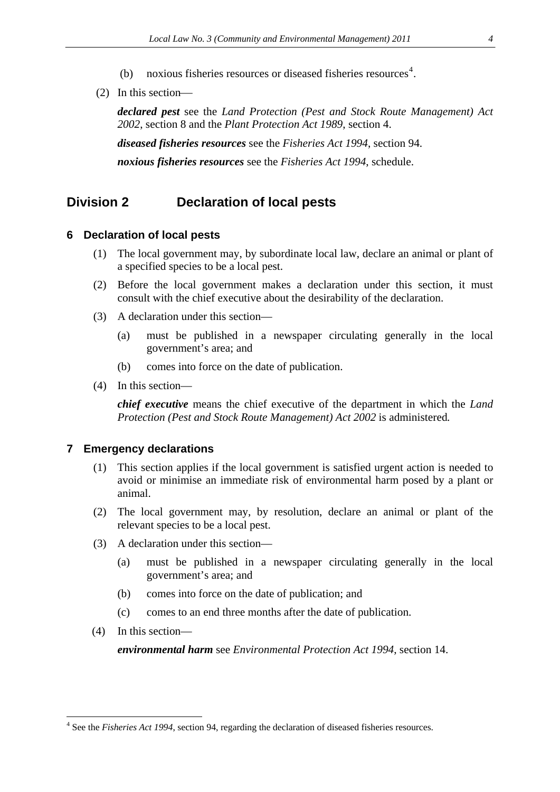- (b) noxious fisheries resources or diseased fisheries resources<sup>[4](#page-2-10)</sup>.
- (2) In this section

*declared pest* see the *Land Protection (Pest and Stock Route Management) Act 2002*, section 8 and the *Plant Protection Act 1989*, section 4. *diseased fisheries resources* see the *Fisheries Act 1994*, section 94. *noxious fisheries resources* see the *Fisheries Act 1994*, schedule.

### <span id="page-3-0"></span>**Division 2 Declaration of local pests**

#### <span id="page-3-1"></span>**6 Declaration of local pests**

- (1) The local government may, by subordinate local law, declare an animal or plant of a specified species to be a local pest.
- (2) Before the local government makes a declaration under this section, it must consult with the chief executive about the desirability of the declaration.
- (3) A declaration under this section—
	- (a) must be published in a newspaper circulating generally in the local government's area; and
	- (b) comes into force on the date of publication.
- (4) In this section—

*chief executive* means the chief executive of the department in which the *Land Protection (Pest and Stock Route Management) Act 2002* is administered*.* 

### <span id="page-3-2"></span>**7 Emergency declarations**

- (1) This section applies if the local government is satisfied urgent action is needed to avoid or minimise an immediate risk of environmental harm posed by a plant or animal.
- (2) The local government may, by resolution, declare an animal or plant of the relevant species to be a local pest.
- (3) A declaration under this section—
	- (a) must be published in a newspaper circulating generally in the local government's area; and
	- (b) comes into force on the date of publication; and
	- (c) comes to an end three months after the date of publication.
- (4) In this section—

<span id="page-3-3"></span><u>.</u>

*environmental harm* see *Environmental Protection Act 1994*, section 14.

<sup>&</sup>lt;sup>4</sup> See the *Fisheries Act 1994*, section 94, regarding the declaration of diseased fisheries resources.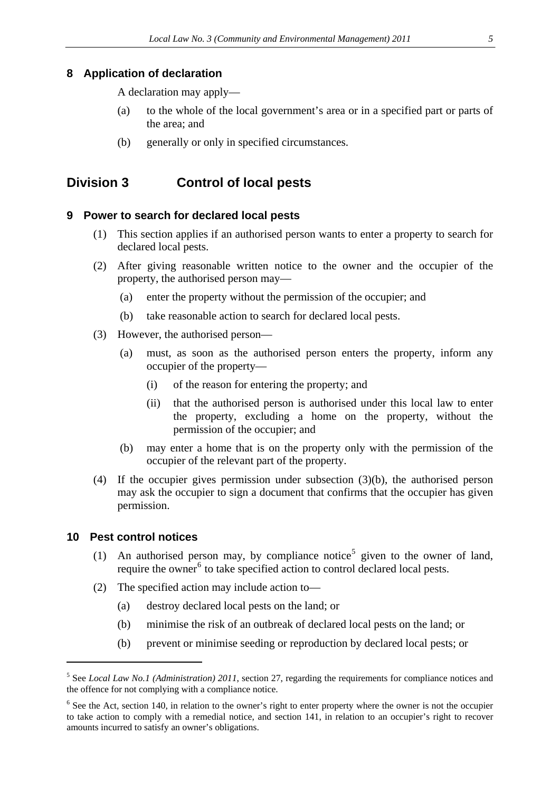### <span id="page-4-0"></span>**8 Application of declaration**

A declaration may apply—

- (a) to the whole of the local government's area or in a specified part or parts of the area; and
- (b) generally or only in specified circumstances.

### <span id="page-4-1"></span>**Division 3 Control of local pests**

### <span id="page-4-2"></span>**9 Power to search for declared local pests**

- (1) This section applies if an authorised person wants to enter a property to search for declared local pests.
- (2) After giving reasonable written notice to the owner and the occupier of the property, the authorised person may—
	- (a) enter the property without the permission of the occupier; and
	- (b) take reasonable action to search for declared local pests.
- (3) However, the authorised person—
	- (a) must, as soon as the authorised person enters the property, inform any occupier of the property—
		- (i) of the reason for entering the property; and
		- (ii) that the authorised person is authorised under this local law to enter the property, excluding a home on the property, without the permission of the occupier; and
	- (b) may enter a home that is on the property only with the permission of the occupier of the relevant part of the property.
- (4) If the occupier gives permission under subsection (3)(b), the authorised person may ask the occupier to sign a document that confirms that the occupier has given permission.

#### <span id="page-4-3"></span>**10 Pest control notices**

- (1) An authorised person may, by compliance notice<sup>[5](#page-3-3)</sup> given to the owner of land, require the owner<sup>[6](#page-4-4)</sup> to take specified action to control declared local pests.
- (2) The specified action may include action to—
	- (a) destroy declared local pests on the land; or
	- (b) minimise the risk of an outbreak of declared local pests on the land; or
	- (b) prevent or minimise seeding or reproduction by declared local pests; or

<span id="page-4-5"></span><sup>5</sup> See *Local Law No.1 (Administration) 2011*, section 27, regarding the requirements for compliance notices and the offence for not complying with a compliance notice.

<span id="page-4-4"></span><sup>&</sup>lt;sup>6</sup> See the Act, section 140, in relation to the owner's right to enter property where the owner is not the occupier to take action to comply with a remedial notice, and section 141, in relation to an occupier's right to recover amounts incurred to satisfy an owner's obligations.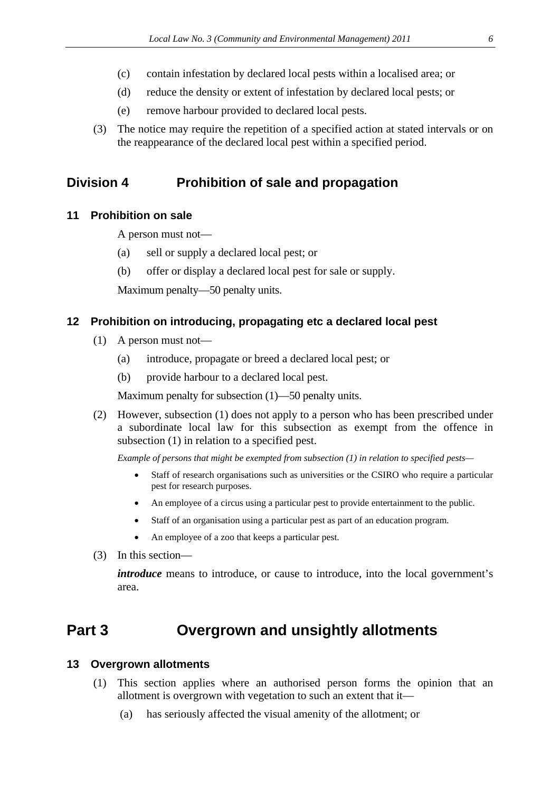- (c) contain infestation by declared local pests within a localised area; or
- (d) reduce the density or extent of infestation by declared local pests; or
- (e) remove harbour provided to declared local pests.
- (3) The notice may require the repetition of a specified action at stated intervals or on the reappearance of the declared local pest within a specified period.

### <span id="page-5-0"></span>**Division 4 Prohibition of sale and propagation**

### <span id="page-5-1"></span>**11 Prohibition on sale**

A person must not—

- (a) sell or supply a declared local pest; or
- (b) offer or display a declared local pest for sale or supply.

Maximum penalty—50 penalty units.

### <span id="page-5-2"></span>**12 Prohibition on introducing, propagating etc a declared local pest**

- (1) A person must not—
	- (a) introduce, propagate or breed a declared local pest; or
	- (b) provide harbour to a declared local pest.

Maximum penalty for subsection (1)—50 penalty units.

(2) However, subsection (1) does not apply to a person who has been prescribed under a subordinate local law for this subsection as exempt from the offence in subsection (1) in relation to a specified pest.

*Example of persons that might be exempted from subsection (1) in relation to specified pests—*

- Staff of research organisations such as universities or the CSIRO who require a particular pest for research purposes.
- An employee of a circus using a particular pest to provide entertainment to the public.
- Staff of an organisation using a particular pest as part of an education program.
- An employee of a zoo that keeps a particular pest.
- (3) In this section—

*introduce* means to introduce, or cause to introduce, into the local government's area.

## <span id="page-5-3"></span>**Part 3 Overgrown and unsightly allotments**

#### <span id="page-5-4"></span>**13 Overgrown allotments**

- (1) This section applies where an authorised person forms the opinion that an allotment is overgrown with vegetation to such an extent that it—
	- (a) has seriously affected the visual amenity of the allotment; or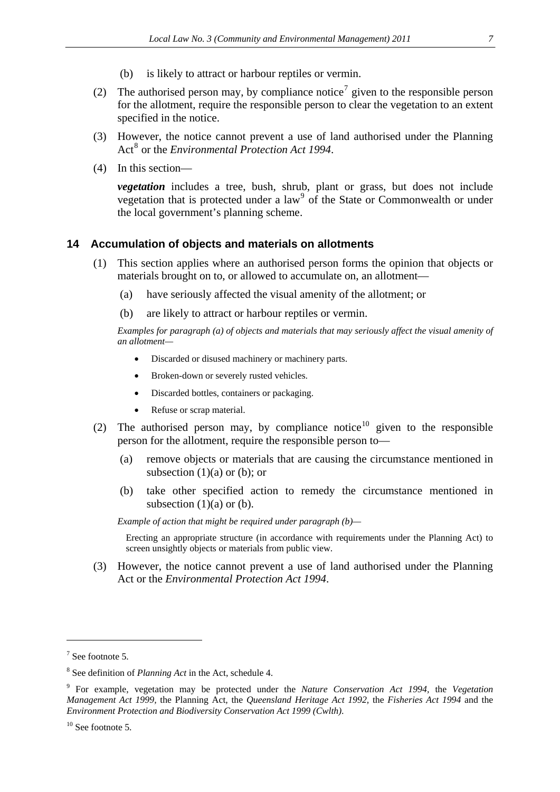- (b) is likely to attract or harbour reptiles or vermin.
- (2) The authorised person may, by compliance notice<sup>[7](#page-4-5)</sup> given to the responsible person for the allotment, require the responsible person to clear the vegetation to an extent specified in the notice.
- (3) However, the notice cannot prevent a use of land authorised under the Planning Act<sup>[8](#page-6-1)</sup> or the *Environmental Protection Act 1994*.
- (4) In this section—

*vegetation* includes a tree, bush, shrub, plant or grass, but does not include vegetation that is protected under a  $law<sup>9</sup>$  $law<sup>9</sup>$  $law<sup>9</sup>$  of the State or Commonwealth or under the local government's planning scheme.

### <span id="page-6-0"></span>**14 Accumulation of objects and materials on allotments**

- (1) This section applies where an authorised person forms the opinion that objects or materials brought on to, or allowed to accumulate on, an allotment—
	- (a) have seriously affected the visual amenity of the allotment; or
	- (b) are likely to attract or harbour reptiles or vermin.

*Examples for paragraph (a) of objects and materials that may seriously affect the visual amenity of an allotment—* 

- Discarded or disused machinery or machinery parts.
- Broken-down or severely rusted vehicles.
- Discarded bottles, containers or packaging.
- Refuse or scrap material.
- (2) The authorised person may, by compliance notice<sup>[10](#page-6-3)</sup> given to the responsible person for the allotment, require the responsible person to—
	- (a) remove objects or materials that are causing the circumstance mentioned in subsection  $(1)(a)$  or  $(b)$ ; or
	- (b) take other specified action to remedy the circumstance mentioned in subsection  $(1)(a)$  or  $(b)$ .

*Example of action that might be required under paragraph (b)—* 

Erecting an appropriate structure (in accordance with requirements under the Planning Act) to screen unsightly objects or materials from public view.

(3) However, the notice cannot prevent a use of land authorised under the Planning Act or the *Environmental Protection Act 1994*.

<span id="page-6-4"></span> $7$  See footnote 5.

<span id="page-6-1"></span><sup>8</sup> See definition of *Planning Act* in the Act, schedule 4.

<span id="page-6-2"></span><sup>9</sup> For example, vegetation may be protected under the *Nature Conservation Act 1994,* the *Vegetation Management Act 1999,* the Planning Act*,* the *Queensland Heritage Act 1992,* the *Fisheries Act 1994* and the *Environment Protection and Biodiversity Conservation Act 1999 (Cwlth)*.

<span id="page-6-3"></span> $10$  See footnote 5.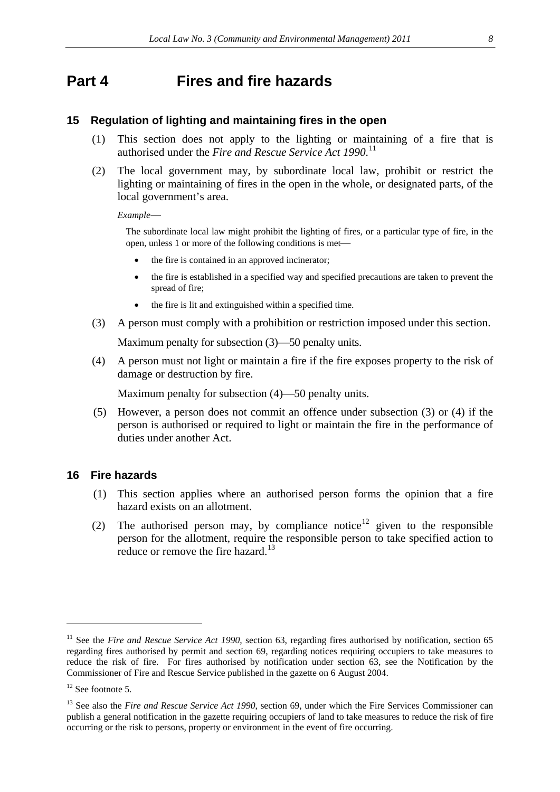## <span id="page-7-0"></span>**Part 4 Fires and fire hazards**

### <span id="page-7-1"></span>**15 Regulation of lighting and maintaining fires in the open**

- (1) This section does not apply to the lighting or maintaining of a fire that is authorised under the *Fire and Rescue Service Act 1990*. [11](#page-6-4)
- (2) The local government may, by subordinate local law, prohibit or restrict the lighting or maintaining of fires in the open in the whole, or designated parts, of the local government's area.

*Example*

The subordinate local law might prohibit the lighting of fires, or a particular type of fire, in the open, unless 1 or more of the following conditions is met

- the fire is contained in an approved incinerator;
- the fire is established in a specified way and specified precautions are taken to prevent the spread of fire;
- the fire is lit and extinguished within a specified time.
- (3) A person must comply with a prohibition or restriction imposed under this section.

Maximum penalty for subsection  $(3)$ —50 penalty units.

(4) A person must not light or maintain a fire if the fire exposes property to the risk of damage or destruction by fire.

Maximum penalty for subsection  $(4)$ —50 penalty units.

(5) However, a person does not commit an offence under subsection (3) or (4) if the person is authorised or required to light or maintain the fire in the performance of duties under another Act.

### <span id="page-7-2"></span>**16 Fire hazards**

- (1) This section applies where an authorised person forms the opinion that a fire hazard exists on an allotment.
- (2) The authorised person may, by compliance notice<sup>[12](#page-7-3)</sup> given to the responsible person for the allotment, require the responsible person to take specified action to reduce or remove the fire hazard.<sup>[13](#page-7-4)</sup>

<sup>&</sup>lt;sup>11</sup> See the *Fire and Rescue Service Act 1990*, section 63, regarding fires authorised by notification, section 65 regarding fires authorised by permit and section 69, regarding notices requiring occupiers to take measures to reduce the risk of fire. For fires authorised by notification under section 63, see the Notification by the Commissioner of Fire and Rescue Service published in the gazette on 6 August 2004.

<span id="page-7-3"></span> $12$  See footnote 5.

<span id="page-7-5"></span><span id="page-7-4"></span><sup>&</sup>lt;sup>13</sup> See also the *Fire and Rescue Service Act 1990*, section 69, under which the Fire Services Commissioner can publish a general notification in the gazette requiring occupiers of land to take measures to reduce the risk of fire occurring or the risk to persons, property or environment in the event of fire occurring.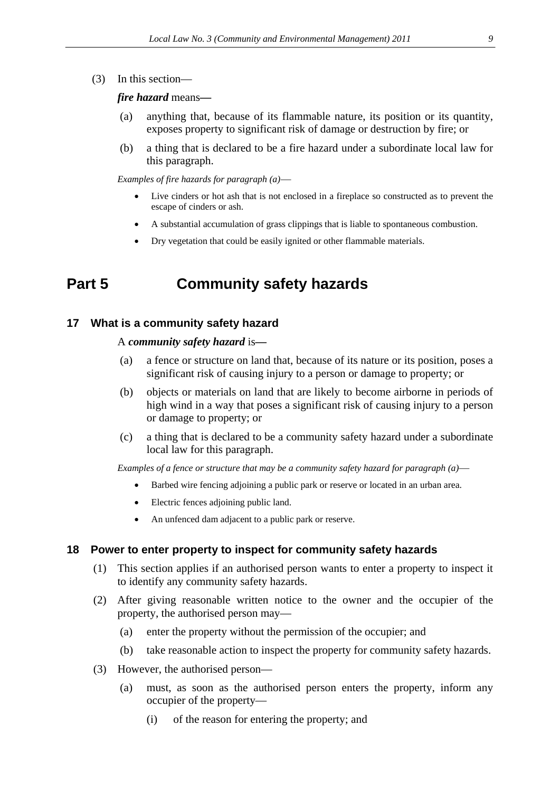(3) In this section—

#### *fire hazard* means*—*

- (a) anything that, because of its flammable nature, its position or its quantity, exposes property to significant risk of damage or destruction by fire; or
- (b) a thing that is declared to be a fire hazard under a subordinate local law for this paragraph.

*Examples of fire hazards for paragraph (a)*

- Live cinders or hot ash that is not enclosed in a fireplace so constructed as to prevent the escape of cinders or ash.
- A substantial accumulation of grass clippings that is liable to spontaneous combustion.
- Dry vegetation that could be easily ignited or other flammable materials.

## <span id="page-8-0"></span>**Part 5 Community safety hazards**

#### <span id="page-8-1"></span>**17 What is a community safety hazard**

#### A *community safety hazard* is*—*

- (a) a fence or structure on land that, because of its nature or its position, poses a significant risk of causing injury to a person or damage to property; or
- (b) objects or materials on land that are likely to become airborne in periods of high wind in a way that poses a significant risk of causing injury to a person or damage to property; or
- (c) a thing that is declared to be a community safety hazard under a subordinate local law for this paragraph.

*Examples of a fence or structure that may be a community safety hazard for paragraph (a)*

- Barbed wire fencing adjoining a public park or reserve or located in an urban area.
- Electric fences adjoining public land.
- An unfenced dam adjacent to a public park or reserve.

#### <span id="page-8-2"></span>**18 Power to enter property to inspect for community safety hazards**

- (1) This section applies if an authorised person wants to enter a property to inspect it to identify any community safety hazards.
- (2) After giving reasonable written notice to the owner and the occupier of the property, the authorised person may—
	- (a) enter the property without the permission of the occupier; and
	- (b) take reasonable action to inspect the property for community safety hazards.
- (3) However, the authorised person—
	- (a) must, as soon as the authorised person enters the property, inform any occupier of the property—
		- (i) of the reason for entering the property; and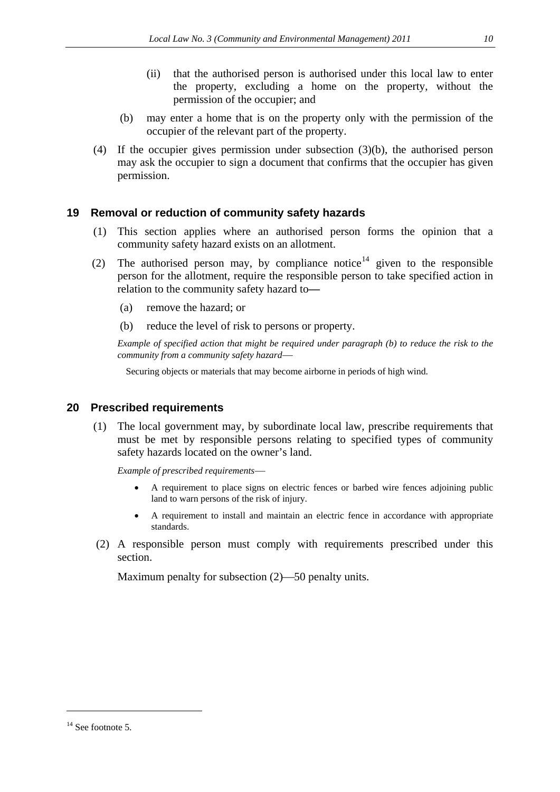- (ii) that the authorised person is authorised under this local law to enter the property, excluding a home on the property, without the permission of the occupier; and
- (b) may enter a home that is on the property only with the permission of the occupier of the relevant part of the property.
- (4) If the occupier gives permission under subsection (3)(b), the authorised person may ask the occupier to sign a document that confirms that the occupier has given permission.

### <span id="page-9-0"></span>**19 Removal or reduction of community safety hazards**

- (1) This section applies where an authorised person forms the opinion that a community safety hazard exists on an allotment.
- (2) The authorised person may, by compliance notice<sup>[14](#page-7-5)</sup> given to the responsible person for the allotment, require the responsible person to take specified action in relation to the community safety hazard to*—*
	- (a) remove the hazard; or
	- (b) reduce the level of risk to persons or property.

*Example of specified action that might be required under paragraph (b) to reduce the risk to the community from a community safety hazard*

Securing objects or materials that may become airborne in periods of high wind.

### <span id="page-9-1"></span>**20 Prescribed requirements**

(1) The local government may, by subordinate local law, prescribe requirements that must be met by responsible persons relating to specified types of community safety hazards located on the owner's land.

*Example of prescribed requirements*

- A requirement to place signs on electric fences or barbed wire fences adjoining public land to warn persons of the risk of injury.
- A requirement to install and maintain an electric fence in accordance with appropriate standards.
- <span id="page-9-2"></span> (2) A responsible person must comply with requirements prescribed under this section.

Maximum penalty for subsection  $(2)$ —50 penalty units.

<u>.</u>

 $14$  See footnote 5.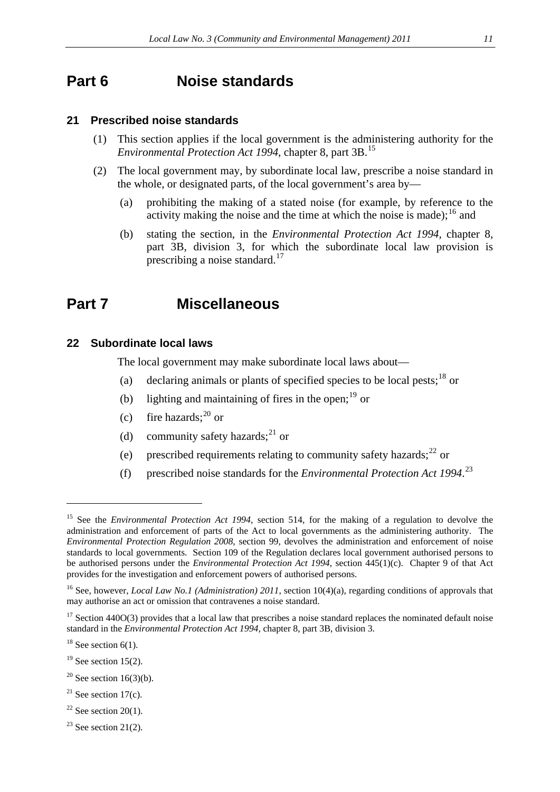## <span id="page-10-0"></span>**Part 6 Noise standards**

### <span id="page-10-1"></span>**21 Prescribed noise standards**

- (1) This section applies if the local government is the administering authority for the *Environmental Protection Act 1994*, chapter 8, part 3B.[15](#page-9-2)
- (2) The local government may, by subordinate local law, prescribe a noise standard in the whole, or designated parts, of the local government's area by—
	- (a) prohibiting the making of a stated noise (for example, by reference to the activity making the noise and the time at which the noise is made);<sup>[16](#page-10-4)</sup> and
	- (b) stating the section, in the *Environmental Protection Act 1994,* chapter 8, part 3B, division 3, for which the subordinate local law provision is prescribing a noise standard. $17$

## <span id="page-10-2"></span>**Part 7 Miscellaneous**

### <span id="page-10-3"></span>**22 Subordinate local laws**

The local government may make subordinate local laws about—

- (a) declaring animals or plants of specified species to be local pests;<sup>[18](#page-10-6)</sup> or
- (b) lighting and maintaining of fires in the open; $^{19}$  $^{19}$  $^{19}$  or
- (c) fire hazards; $^{20}$  $^{20}$  $^{20}$  or
- (d) community safety hazards;<sup>[21](#page-10-9)</sup> or
- (e) prescribed requirements relating to community safety hazards; $^{22}$  $^{22}$  $^{22}$  or
- (f) prescribed noise standards for the *Environmental Protection Act 1994*. [23](#page-10-11)

<u>.</u>

- <span id="page-10-7"></span> $19$  See section 15(2).
- <span id="page-10-8"></span> $20$  See section 16(3)(b).
- <span id="page-10-9"></span> $21$  See section 17(c).
- <span id="page-10-10"></span> $22$  See section 20(1).
- <span id="page-10-11"></span> $23$  See section 21(2).

<sup>15</sup> See the *Environmental Protection Act 1994*, section 514, for the making of a regulation to devolve the administration and enforcement of parts of the Act to local governments as the administering authority. The *Environmental Protection Regulation 2008*, section 99, devolves the administration and enforcement of noise standards to local governments. Section 109 of the Regulation declares local government authorised persons to be authorised persons under the *Environmental Protection Act 1994*, section 445(1)(c). Chapter 9 of that Act provides for the investigation and enforcement powers of authorised persons.

<span id="page-10-4"></span><sup>&</sup>lt;sup>16</sup> See, however, *Local Law No.1 (Administration) 2011*, section 10(4)(a), regarding conditions of approvals that may authorise an act or omission that contravenes a noise standard.

<span id="page-10-5"></span> $17$  Section 440O(3) provides that a local law that prescribes a noise standard replaces the nominated default noise standard in the *Environmental Protection Act 1994,* chapter 8, part 3B, division 3.

<span id="page-10-6"></span> $18$  See section 6(1).